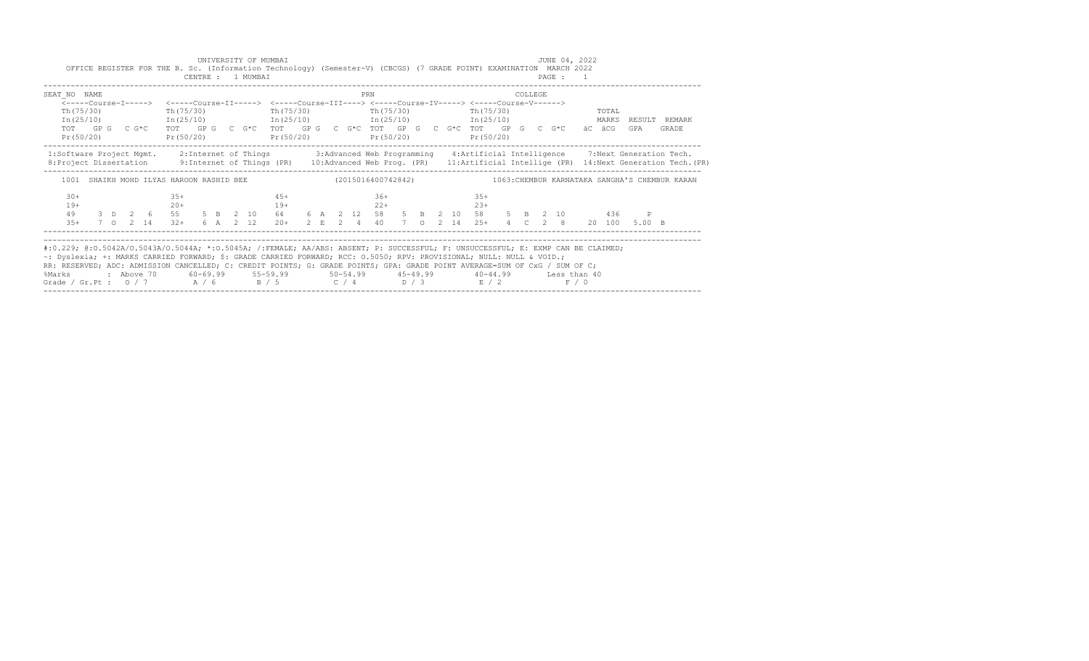|                                                                                                                                                                                                                                                                                                                                                                                                                                                        |  |  |                 |  | CENTRE : 1 MUMBAI | UNIVERSITY OF MUMBAI<br>OFFICE REGISTER FOR THE B. Sc. (Information Technology) (Semester-V) (CBCGS) (7 GRADE POINT) EXAMINATION MARCH 2022                                                                                      |  |  |                |  |  |                |  |         | JUNE 04, 2022<br>PAGE : 1 |       |                |     |   |                                                                                                                                             |
|--------------------------------------------------------------------------------------------------------------------------------------------------------------------------------------------------------------------------------------------------------------------------------------------------------------------------------------------------------------------------------------------------------------------------------------------------------|--|--|-----------------|--|-------------------|----------------------------------------------------------------------------------------------------------------------------------------------------------------------------------------------------------------------------------|--|--|----------------|--|--|----------------|--|---------|---------------------------|-------|----------------|-----|---|---------------------------------------------------------------------------------------------------------------------------------------------|
| SEAT NO NAME                                                                                                                                                                                                                                                                                                                                                                                                                                           |  |  |                 |  |                   |                                                                                                                                                                                                                                  |  |  | PRN            |  |  |                |  | COLLEGE |                           |       |                |     |   |                                                                                                                                             |
| Th(75/30)<br>Pr(50/20)                                                                                                                                                                                                                                                                                                                                                                                                                                 |  |  | Th (75/30)      |  |                   | $Th(75/30)$ The $(75/30)$<br>$In (25/10)$ $In (25/10)$ $In (25/10)$ $In (25/10)$ $In (25/10)$<br>TOT GPG C G*C TOT GPG C G*C TOT GPG C G*C TOT GPG C G*C TOT GPG C G*C äC äCG<br>$Pr(50/20)$ $Pr(50/20)$ $Pr(50/20)$ $Pr(50/20)$ |  |  |                |  |  | Th (75/30)     |  |         |                           |       | TOTAL<br>MARKS | GPA |   | RESULT REMARK<br>GRADE                                                                                                                      |
| 1:Software Project Mgmt. 2:Internet of Things 3:Advanced Web Programming 4:Artificial Intelligence 7:Next Generation Tech.                                                                                                                                                                                                                                                                                                                             |  |  |                 |  |                   |                                                                                                                                                                                                                                  |  |  |                |  |  |                |  |         |                           |       |                |     |   | 8: Project Dissertation 9: Internet of Things (PR) 10: Advanced Web Prog. (PR) 11: Artificial Intellige (PR) 14: Next Generation Tech. (PR) |
|                                                                                                                                                                                                                                                                                                                                                                                                                                                        |  |  |                 |  |                   |                                                                                                                                                                                                                                  |  |  |                |  |  |                |  |         |                           |       |                |     |   | 1001 SHAIKH MOHD ILYAS HAROON RASHID BEE (2015016400742842) 1063:CHEMBUR KARNATAKA SANGHA'S CHEMBUR KARAN                                   |
| $30+$<br>$19+$<br>49                                                                                                                                                                                                                                                                                                                                                                                                                                   |  |  | $3.5+$<br>$20+$ |  |                   | $4.5+$<br>$19+$<br>3 D 2 6 55 5 B 2 10 64 6 A 2 12 58 5 B 2 10 58 5 B 2 10 436<br>35+ 7 0 2 14 32+ 6 A 2 12 20+ 2 E 2 4 40 7 0 2 14 25+ 4 C 2 8 20 100 5.00 B                                                                    |  |  | $36+$<br>$22+$ |  |  | $35+$<br>$23+$ |  |         |                           |       |                |     | P |                                                                                                                                             |
| #:0.229; @:0.5042A/0.5043A/0.5044A; *:0.5045A; /:FEMALE; AA/ABS: ABSENT; P: SUCCESSFUL; F: UNSUCCESSFUL; E: EXMP CAN BE CLAIMED;<br>~: Dyslexia; +: MARKS CARRIED FORWARD; \$: GRADE CARRIED FORWARD; RCC: 0.5050; RPV: PROVISIONAL; NULL: NULL & VOID.;<br>RR: RESERVED; ADC: ADMISSION CANCELLED; C: CREDIT POINTS; G: GRADE POINTS; GPA: GRADE POINT AVERAGE=SUM OF CxG / SUM OF C;<br>%Marks<br>Grade / Gr.Pt: $0/7$ A / 6 B / 5 C / 4 D / 3 E / 2 |  |  |                 |  |                   | : Above 70    60-69.99    55-59.99     50-54.99     45-49.99     40-44.99     Less than 40                                                                                                                                       |  |  |                |  |  |                |  |         |                           | F / 0 |                |     |   |                                                                                                                                             |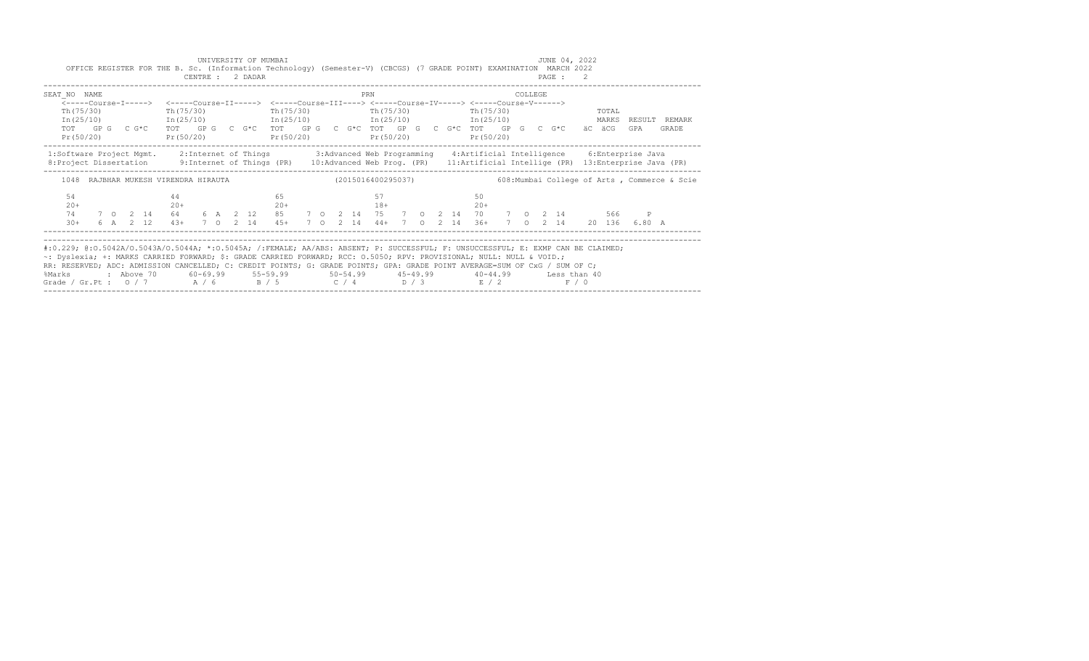|                                                                                                                                                                                                                                                                                                                                                                                                                                                         |  |  | OFFICE REGISTER FOR THE B. Sc. (Information Technology) (Semester-V) (CBCGS) (7 GRADE POINT) EXAMINATION MARCH 2022                                   |  | CENTRE : 2 DADAR | UNIVERSITY OF MUMBAI                                                                                                                                                                                                                  |  |  |             |  |  |             |          |  | JUNE 04, 2022<br>PAGE : 2 |        |                                              |       |  |
|---------------------------------------------------------------------------------------------------------------------------------------------------------------------------------------------------------------------------------------------------------------------------------------------------------------------------------------------------------------------------------------------------------------------------------------------------------|--|--|-------------------------------------------------------------------------------------------------------------------------------------------------------|--|------------------|---------------------------------------------------------------------------------------------------------------------------------------------------------------------------------------------------------------------------------------|--|--|-------------|--|--|-------------|----------|--|---------------------------|--------|----------------------------------------------|-------|--|
| SEAT NO NAME                                                                                                                                                                                                                                                                                                                                                                                                                                            |  |  |                                                                                                                                                       |  |                  |                                                                                                                                                                                                                                       |  |  | PRN         |  |  |             | COLLEGE. |  |                           |        |                                              |       |  |
|                                                                                                                                                                                                                                                                                                                                                                                                                                                         |  |  | <-----Course-I-----> <-----Course-II-----> <-----Course-III----> <-----Course-IV-----> <-----Course-V------>                                          |  |                  |                                                                                                                                                                                                                                       |  |  |             |  |  |             |          |  |                           |        |                                              |       |  |
| Th (75/30)                                                                                                                                                                                                                                                                                                                                                                                                                                              |  |  | Th (75/30)<br>$In (25/10)$ $In (25/10)$ $In (25/10)$ $In (25/10)$ $In (25/10)$ $In (25/10)$ $In (25/10)$                                              |  |                  | $Th(75/30)$ The $(75/30)$                                                                                                                                                                                                             |  |  |             |  |  | Th (75/30)  |          |  |                           | TOTAL  | RESULT REMARK                                |       |  |
|                                                                                                                                                                                                                                                                                                                                                                                                                                                         |  |  | TOT GPG CG*C TOT GPG CG*C TOT GPG CG*C TOT GPG CG*C TOT GPG CG*C                                                                                      |  |                  |                                                                                                                                                                                                                                       |  |  |             |  |  |             |          |  |                           | äC äCG | GPA                                          | GRADE |  |
| Pr(50/20)                                                                                                                                                                                                                                                                                                                                                                                                                                               |  |  | Pr(50/20)                                                                                                                                             |  |                  | $Pr(50/20)$ $Pr(50/20)$ $Pr(50/20)$                                                                                                                                                                                                   |  |  |             |  |  |             |          |  |                           |        |                                              |       |  |
| 1:Software Project Mgmt. 2:Internet of Things 3:Advanced Web Programming 4:Artificial Intelligence 6:Enterprise Java<br>8: Project Dissertation 9: Internet of Things (PR) 10: Advanced Web Prog. (PR) 11: Artificial Intellige (PR) 13: Enterprise Java (PR)                                                                                                                                                                                           |  |  |                                                                                                                                                       |  |                  |                                                                                                                                                                                                                                       |  |  |             |  |  |             |          |  |                           |        |                                              |       |  |
|                                                                                                                                                                                                                                                                                                                                                                                                                                                         |  |  | 1048 RAJBHAR MUKESH VIRENDRA HIRAUTA (2015016400295037)                                                                                               |  |                  |                                                                                                                                                                                                                                       |  |  |             |  |  |             |          |  |                           |        | 608: Mumbai College of Arts, Commerce & Scie |       |  |
| 54<br>$20+$<br>74<br>$30+$                                                                                                                                                                                                                                                                                                                                                                                                                              |  |  | 44<br>$20+$<br>7 0 2 14 64 6 A 2 12 85 7 0 2 14 75 7 0 2 14 70 7 0 2 14<br>6 A 2 12 43+ 7 O 2 14 45+ 7 O 2 14 44+ 7 O 2 14 36+ 7 O 2 14 20 136 6.80 A |  |                  | $65$ and $65$ and $65$ and $65$ and $65$ and $65$ and $65$ and $65$ and $65$ and $65$ and $65$ and $65$ and $65$ and $65$ and $65$ and $65$ and $65$ and $65$ and $65$ and $65$ and $65$ and $65$ and $65$ and $65$ and $65$<br>$20+$ |  |  | 57<br>$18+$ |  |  | 50<br>$20+$ |          |  |                           |        | 566 P                                        |       |  |
|                                                                                                                                                                                                                                                                                                                                                                                                                                                         |  |  |                                                                                                                                                       |  |                  |                                                                                                                                                                                                                                       |  |  |             |  |  |             |          |  |                           |        |                                              |       |  |
| #:0.229; @:0.5042A/0.5043A/0.5044A; *:0.5045A; /:FEMALE; AA/ABS: ABSENT; P: SUCCESSFUL; F: UNSUCCESSFUL; E: EXMP CAN BE CLAIMED;<br>~: Dyslexia; +: MARKS CARRIED FORWARD; \$: GRADE CARRIED FORWARD; RCC: 0.5050; RPV: PROVISIONAL; NULL: NULL & VOID.;<br>RR: RESERVED; ADC: ADMISSION CANCELLED; C: CREDIT POINTS; G: GRADE POINTS; GPA: GRADE POINT AVERAGE=SUM OF CxG / SUM OF C;<br>%Marks<br>Grade / Gr.Pt : $0/7$ $A/6$ $B/5$ $C/4$ $D/3$ $E/2$ |  |  | : Above 70    60-69.99    55-59.99     50-54.99     45-49.99     40-44.99     Less than 40                                                            |  |                  |                                                                                                                                                                                                                                       |  |  |             |  |  |             |          |  | F / 0                     |        |                                              |       |  |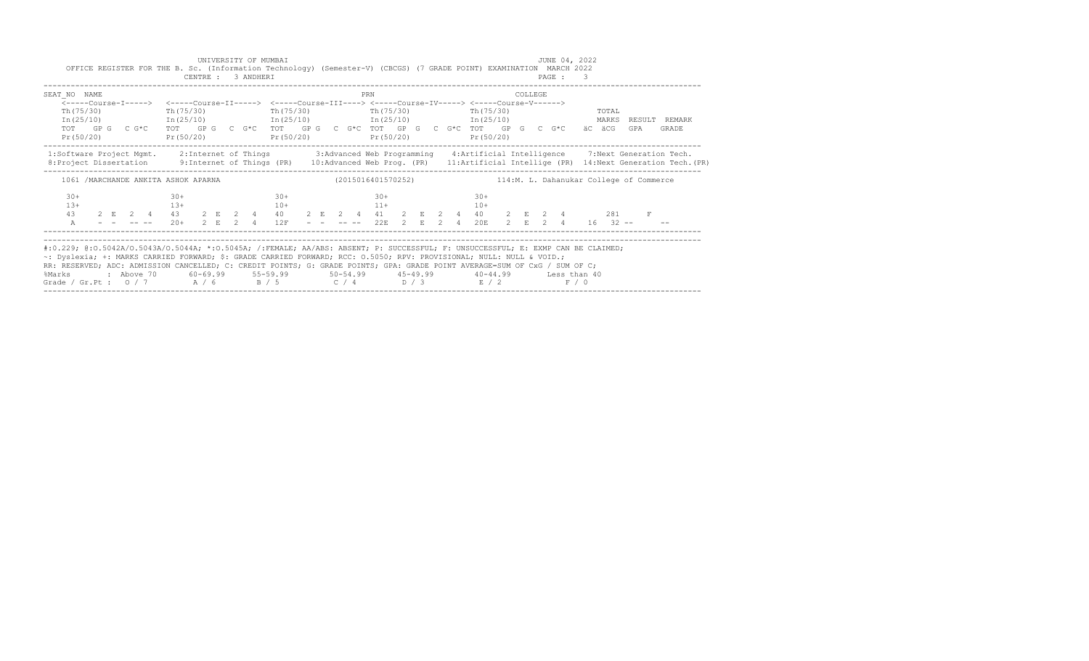|                                     | UNIVERSITY OF MUMBAI<br>CENTRE : 3 ANDHERI |                                                                                                                                                                            | JUNE 04, 2022<br>OFFICE REGISTER FOR THE B. Sc. (Information Technology) (Semester-V) (CBCGS) (7 GRADE POINT) EXAMINATION MARCH 2022<br>PAGE :<br>$\overline{\phantom{a}}$                                                                                                                                                                                            |
|-------------------------------------|--------------------------------------------|----------------------------------------------------------------------------------------------------------------------------------------------------------------------------|-----------------------------------------------------------------------------------------------------------------------------------------------------------------------------------------------------------------------------------------------------------------------------------------------------------------------------------------------------------------------|
| SEAT NO NAME                        |                                            | PRN                                                                                                                                                                        | COLLEGE                                                                                                                                                                                                                                                                                                                                                               |
| Th(75/30)<br>Pr(50/20)              | Th (75/30)                                 | Th(75/30)<br>Th(75/30)<br>$In (25/10)$ $In (25/10)$ $In (25/10)$ $In (25/10)$ $In (25/10)$<br>$Pr(50/20)$ $Pr(50/20)$ $Pr(50/20)$                                          | Th (75/30)<br>TOTAL<br>MARKS<br>RESULT REMARK<br>TOT GPG C G*C TOT GPG C G*C TOT GPG C G*C TOT GPG C G*C TOT GPG C G*C äC äCG<br>GPA<br>GRADE<br>Pr (50/20)                                                                                                                                                                                                           |
|                                     |                                            |                                                                                                                                                                            | 1:Software Project Mgmt. 2:Internet of Things 3:Advanced Web Programming 4:Artificial Intelligence 7:Next Generation Tech.<br>8: Project Dissertation 9: Internet of Things (PR) 10: Advanced Web Prog. (PR) 11: Artificial Intellige (PR) 14: Next Generation Tech. (PR)                                                                                             |
| 1061 /MARCHANDE ANKITA ASHOK APARNA |                                            |                                                                                                                                                                            | (2015016401570252) 114:M. L. Dahanukar College of Commerce                                                                                                                                                                                                                                                                                                            |
| $30+$<br>$13+$<br>43                | $30+$<br>$13+$<br>$10+$                    | $30+$<br>$30+$<br>$11+$                                                                                                                                                    | $30+$<br>$10+$<br>2 E 2 4 43 2 E 2 4 40 2 E 2 4 41 2 E 2 4 40 2 E 2 4<br>281 - 281 - 281 - 282 - 282 - 282 - 282 - 282 - 282 - 282 - 282 - 282 - 282 - 282 - 282 - 282 - 282 - 282 - 28<br>$20+$ 2 E 2 4 12F - - -- 22E 2 E 2 4 20E 2 E 2 4 16 32 --                                                                                                                  |
| %Marks                              |                                            | ~: Dyslexia; +: MARKS CARRIED FORWARD; \$: GRADE CARRIED FORWARD; RCC: 0.5050; RPV: PROVISIONAL; NULL: NULL & VOID.;<br>Grade / Gr.Pt: $0/7$ $A/6$ $B/5$ $C/4$ $D/3$ $E/2$ | #:0.229; @:0.5042A/0.5043A/0.5044A; *:0.5045A; /:FEMALE; AA/ABS: ABSENT; P: SUCCESSFUL; F: UNSUCCESSFUL; E: EXMP CAN BE CLAIMED;<br>RR: RESERVED; ADC: ADMISSION CANCELLED; C: CREDIT POINTS; G: GRADE POINTS; GPA: GRADE POINT AVERAGE=SUM OF CxG / SUM OF C;<br>: Above 70    60-69.99    55-59.99     50-54.99     45-49.99     40-44.99     Less than 40<br>F / 0 |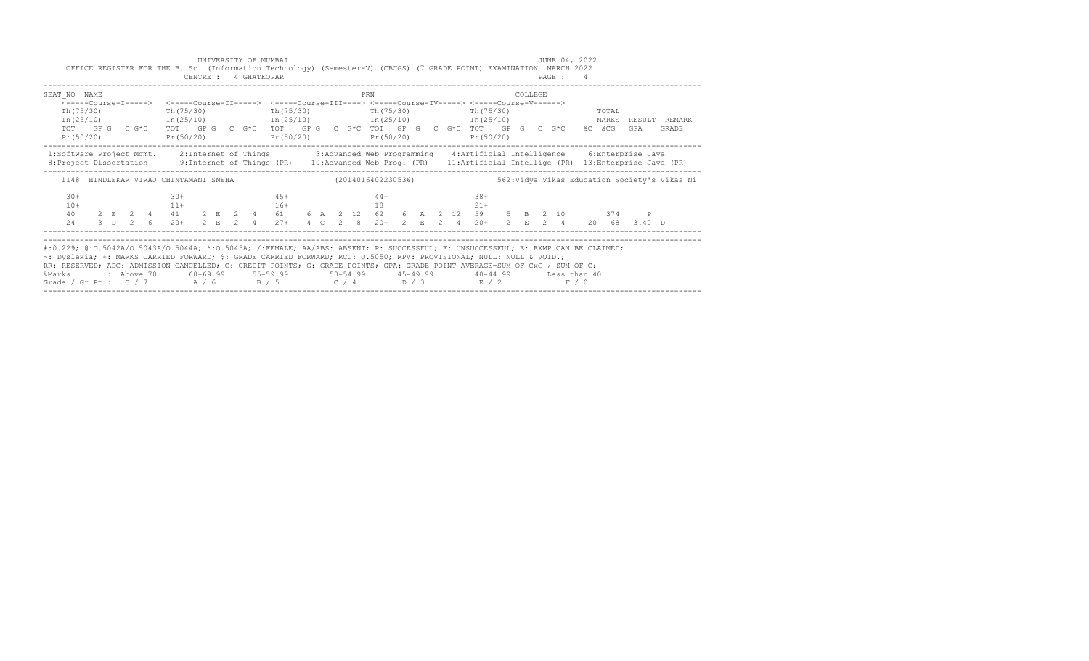|                                                                                                                                                                                                                                                                                                                                                                                                                                                         |  |  |                         | CENTRE : 4 GHATKOPAR |  | UNIVERSITY OF MUMBAI<br>OFFICE REGISTER FOR THE B. Sc. (Information Technology) (Semester-V) (CBCGS) (7 GRADE POINT) EXAMINATION MARCH 2022                                                                                                           |  |  |             |  |  |                          |  |         | JUNE 04, 2022<br>PAGE: 4 |                          |     |                                               |
|---------------------------------------------------------------------------------------------------------------------------------------------------------------------------------------------------------------------------------------------------------------------------------------------------------------------------------------------------------------------------------------------------------------------------------------------------------|--|--|-------------------------|----------------------|--|-------------------------------------------------------------------------------------------------------------------------------------------------------------------------------------------------------------------------------------------------------|--|--|-------------|--|--|--------------------------|--|---------|--------------------------|--------------------------|-----|-----------------------------------------------|
| SEAT NO NAME                                                                                                                                                                                                                                                                                                                                                                                                                                            |  |  |                         |                      |  | <-----Course-I-----> <-----Course-II-----> <-----Course-III----> <-----Course-IV-----> <-----Course-V------>                                                                                                                                          |  |  | PRN         |  |  |                          |  | COLLEGE |                          |                          |     |                                               |
| Th (75/30)<br>Pr(50/20)                                                                                                                                                                                                                                                                                                                                                                                                                                 |  |  | Th (75/30)<br>Pr(50/20) |                      |  | $Th(75/30)$ The $(75/30)$<br>$\text{In (25/10)}$ $\text{In (25/10)}$ $\text{In (25/10)}$ $\text{In (25/10)}$ $\text{In (25/10)}$ $\text{In (25/10)}$<br>TOT GPG CG*C TOT GPG CG*C TOT GPG CG*C TOT GPG CG*C TOT GEGPC CG*C<br>$Pr(50/20)$ $Pr(50/20)$ |  |  |             |  |  | Th (75/30)<br>Pr (50/20) |  |         |                          | TOTAL<br>MARKS<br>äC äCG | GPA | RESULT REMARK<br>GRADE                        |
| 1:Software Project Mgmt. 2:Internet of Things 3:Advanced Web Programming 4:Artificial Intelligence 6:Enterprise Java<br>8: Project Dissertation 9: Internet of Things (PR) 10: Advanced Web Prog. (PR) 11: Artificial Intellige (PR) 13: Enterprise Java (PR)                                                                                                                                                                                           |  |  |                         |                      |  |                                                                                                                                                                                                                                                       |  |  |             |  |  |                          |  |         |                          |                          |     |                                               |
|                                                                                                                                                                                                                                                                                                                                                                                                                                                         |  |  |                         |                      |  | 1148 HINDLEKAR VIRAJ CHINTAMANI SNEHA (2014016402230536)                                                                                                                                                                                              |  |  |             |  |  |                          |  |         |                          |                          |     | 562: Vidya Vikas Education Society's Vikas Ni |
| $30+$<br>$10+$                                                                                                                                                                                                                                                                                                                                                                                                                                          |  |  | $30+$<br>$11+$          |                      |  | $45+$<br>$16+$<br>40 2 E 2 4 41 2 E 2 4 61 6 A 2 12 62 6 A 2 12 59 5 B 2 10 374 P<br>24 3 D 2 6 20+ 2 E 2 4 27+ 4 C 2 8 20+ 2 E 2 4 20+ 2 E 2 4 20 68 3.40 D                                                                                          |  |  | $44+$<br>18 |  |  | $38+$<br>$21+$           |  |         |                          |                          |     |                                               |
| #:0.229; @:0.5042A/0.5043A/0.5044A; *:0.5045A; /:FEMALE; AA/ABS: ABSENT; P: SUCCESSFUL; F: UNSUCCESSFUL; E: EXMP CAN BE CLAIMED;<br>~: Dyslexia; +: MARKS CARRIED FORWARD; \$: GRADE CARRIED FORWARD; RCC: 0.5050; RPV: PROVISIONAL; NULL: NULL & VOID.;<br>RR: RESERVED; ADC: ADMISSION CANCELLED; C: CREDIT POINTS; G: GRADE POINTS; GPA: GRADE POINT AVERAGE=SUM OF CxG / SUM OF C;<br>%Marks<br>Grade / Gr.Pt : $0/7$ $A/6$ $B/5$ $C/4$ $D/3$ $E/2$ |  |  |                         |                      |  | : Above 70    60-69.99    55-59.99     50-54.99     45-49.99     40-44.99     Less than 40                                                                                                                                                            |  |  |             |  |  |                          |  |         | F / 0                    |                          |     |                                               |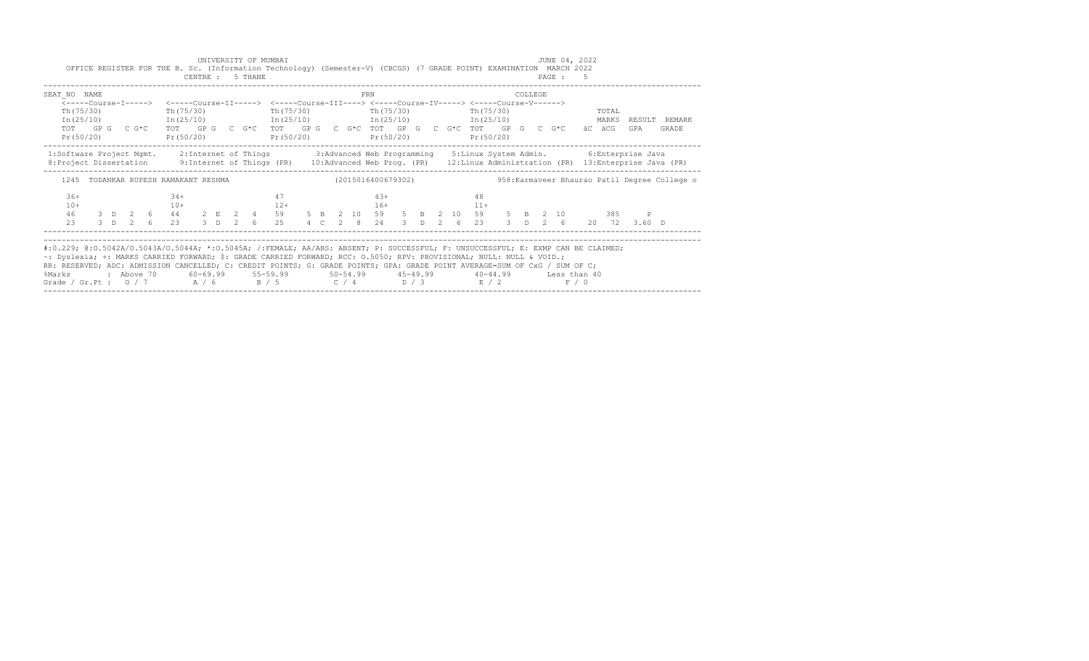|                                                                                                                                                                                                                                                                                                                                                                                                                                                         |  |  |                         | CENTRE : 5 THANE |  | UNIVERSITY OF MUMBAI<br>OFFICE REGISTER FOR THE B. Sc. (Information Technology) (Semester-V) (CBCGS) (7 GRADE POINT) EXAMINATION MARCH 2022                                                                                                                                                                                          |  |  |                |  |    |            |          | JUNE 04, 2022<br>PAGE : 5 |       |                |     |                                               |
|---------------------------------------------------------------------------------------------------------------------------------------------------------------------------------------------------------------------------------------------------------------------------------------------------------------------------------------------------------------------------------------------------------------------------------------------------------|--|--|-------------------------|------------------|--|--------------------------------------------------------------------------------------------------------------------------------------------------------------------------------------------------------------------------------------------------------------------------------------------------------------------------------------|--|--|----------------|--|----|------------|----------|---------------------------|-------|----------------|-----|-----------------------------------------------|
| SEAT NO NAME                                                                                                                                                                                                                                                                                                                                                                                                                                            |  |  |                         |                  |  |                                                                                                                                                                                                                                                                                                                                      |  |  | PRN            |  |    |            | COLLEGE. |                           |       |                |     |                                               |
| Th (75/30)<br>Pr(50/20)                                                                                                                                                                                                                                                                                                                                                                                                                                 |  |  | Th (75/30)<br>Pr(50/20) |                  |  | <-----Course-I-----> <-----Course-II-----> <-----Course-III----> <-----Course-IV-----> <-----Course-V------><br>$Th(75/30)$ The $(75/30)$<br>$In (25/10)$ $In (25/10)$ $In (25/10)$ $In (25/10)$ $In (25/10)$<br>TOT GPG C G*C TOT GPG C G*C TOT GPG C G*C TOT GPG C G*C TOT GPG C G*C äC äCG<br>$Pr(50/20)$ $Pr(50/20)$ $Pr(50/20)$ |  |  |                |  |    | Th (75/30) |          |                           |       | TOTAL<br>MARKS | GPA | RESULT REMARK<br>GRADE                        |
| 1:Software Project Mgmt. 2:Internet of Things 3:Advanced Web Programming 5:Linux System Admin. 6:Enterprise Java<br>8: Project Dissertation 9: Internet of Things (PR) 10: Advanced Web Prog. (PR) 12: Linux Administration (PR) 13: Enterprise Java (PR)                                                                                                                                                                                               |  |  |                         |                  |  |                                                                                                                                                                                                                                                                                                                                      |  |  |                |  |    |            |          |                           |       |                |     |                                               |
|                                                                                                                                                                                                                                                                                                                                                                                                                                                         |  |  |                         |                  |  | 1245 TODANKAR RUPESH RAMAKANT RESHMA (2015016400679302)                                                                                                                                                                                                                                                                              |  |  |                |  |    |            |          |                           |       |                |     | 958: Karmaveer Bhaurao Patil Degree College o |
| $36+$<br>$10+$<br>46                                                                                                                                                                                                                                                                                                                                                                                                                                    |  |  | $34 +$<br>$10+$         |                  |  | 47<br>$12+$<br>3 D 2 6 44 2 E 2 4 59 5 B 2 10 59 5 B 2 10 59 5 B 2 10 385 P<br>23 3 D 2 6 23 3 D 2 6 25 4 C 2 8 24 3 D 2 6 23 3 D 2 6 20 72 3.60 D                                                                                                                                                                                   |  |  | $43+$<br>$16+$ |  | 48 | $11+$      |          |                           |       |                |     |                                               |
| #:0.229; @:0.5042A/0.5043A/0.5044A; *:0.5045A; /:FEMALE; AA/ABS: ABSENT; P: SUCCESSFUL; F: UNSUCCESSFUL; E: EXMP CAN BE CLAIMED;<br>~: Dyslexia; +: MARKS CARRIED FORWARD; \$: GRADE CARRIED FORWARD; RCC: 0.5050; RPV: PROVISIONAL; NULL: NULL & VOID.;<br>RR: RESERVED; ADC: ADMISSION CANCELLED; C: CREDIT POINTS; G: GRADE POINTS; GPA: GRADE POINT AVERAGE=SUM OF CxG / SUM OF C;<br>%Marks<br>Grade / Gr.Pt : $0/7$ $A/6$ $B/5$ $C/4$ $D/3$ $E/2$ |  |  |                         |                  |  | : Above 70    60-69.99    55-59.99     50-54.99     45-49.99     40-44.99     Less than 40                                                                                                                                                                                                                                           |  |  |                |  |    |            |          |                           | F / 0 |                |     |                                               |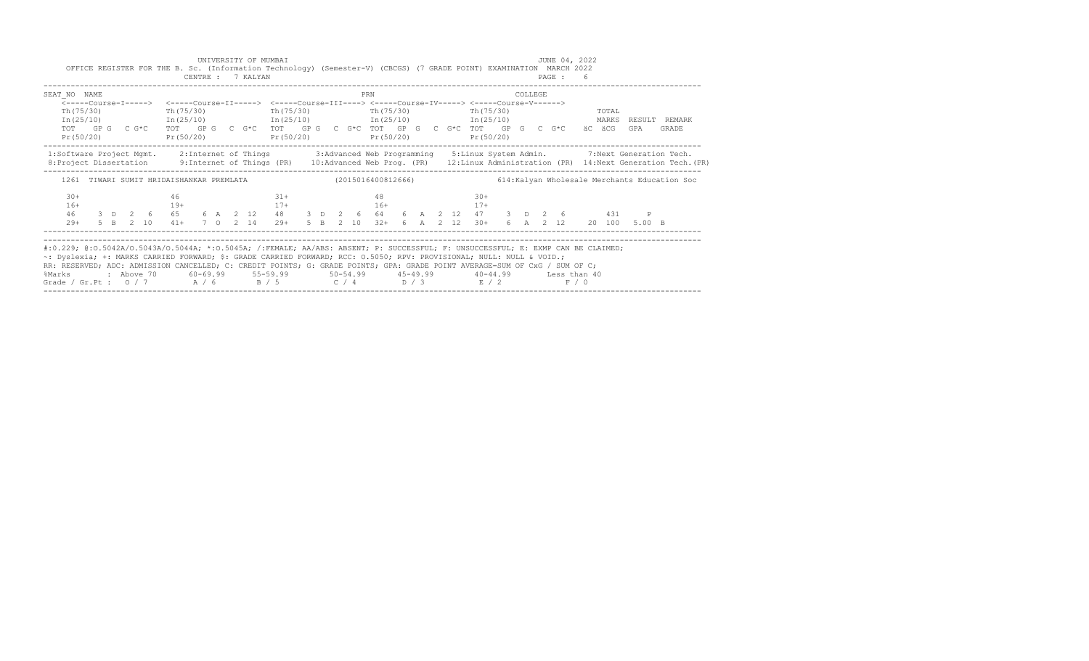|                                                                                                                                                                                                                                                                                                                                                                                                                                                                                                                             |  |  |            |  | CENTRE : 7 KALYAN | UNIVERSITY OF MUMBAI<br>OFFICE REGISTER FOR THE B. Sc. (Information Technology) (Semester-V) (CBCGS) (7 GRADE POINT) EXAMINATION MARCH 2022                                                                            |  |  |     |  |  |            |  |          | JUNE 04, 2022<br>PAGE: 6 |       |       |     |                                                                                                                                             |
|-----------------------------------------------------------------------------------------------------------------------------------------------------------------------------------------------------------------------------------------------------------------------------------------------------------------------------------------------------------------------------------------------------------------------------------------------------------------------------------------------------------------------------|--|--|------------|--|-------------------|------------------------------------------------------------------------------------------------------------------------------------------------------------------------------------------------------------------------|--|--|-----|--|--|------------|--|----------|--------------------------|-------|-------|-----|---------------------------------------------------------------------------------------------------------------------------------------------|
| SEAT NO NAME<br>Th (75/30)                                                                                                                                                                                                                                                                                                                                                                                                                                                                                                  |  |  | Th (75/30) |  |                   | <-----Course-T-----> <-----Course-TT-----> <-----Course-TTT----> <-----Course-TV-----> <-----Course-V------><br>$Th(75/30)$ The $Th(75/30)$                                                                            |  |  | PRN |  |  | Th (75/30) |  | COLLEGE. |                          |       | TOTAL |     |                                                                                                                                             |
| Pr(50/20)                                                                                                                                                                                                                                                                                                                                                                                                                                                                                                                   |  |  |            |  |                   | $In (25/10)$ $In (25/10)$ $In (25/10)$ $In (25/10)$ $In (25/10)$ $In (25/10)$ $In (25/10)$<br>TOT GP G C G*C TOT GP G C G*C TOT GP G C G*C TOT GP G C G*C TOT GP G C G*C äC äCG<br>$Pr(50/20)$ $Pr(50/20)$ $Pr(50/20)$ |  |  |     |  |  | Pr (50/20) |  |          |                          |       |       | GPA | RESULT REMARK<br>GRADE                                                                                                                      |
| 1:Software Project Mgmt. 2:Internet of Things 3:Advanced Web Programming 5:Linux System Admin. 7:Next Generation Tech.                                                                                                                                                                                                                                                                                                                                                                                                      |  |  |            |  |                   |                                                                                                                                                                                                                        |  |  |     |  |  |            |  |          |                          |       |       |     | 8: Project Dissertation 9: Internet of Things (PR) 10: Advanced Web Prog. (PR) 12: Linux Administration (PR) 14: Next Generation Tech. (PR) |
| $30+$                                                                                                                                                                                                                                                                                                                                                                                                                                                                                                                       |  |  | 46         |  |                   | 1261 TIWARI SUMIT HRIDAISHANKAR PREMLATA (2015016400812666)<br>$31+$                                                                                                                                                   |  |  | 48  |  |  | $30+$      |  |          |                          |       |       |     | 614: Kalyan Wholesale Merchants Education Soc                                                                                               |
|                                                                                                                                                                                                                                                                                                                                                                                                                                                                                                                             |  |  |            |  |                   |                                                                                                                                                                                                                        |  |  |     |  |  |            |  |          |                          |       |       |     |                                                                                                                                             |
| #:0.229; @:0.5042A/0.5043A/0.5044A; *:0.5045A; /:FEMALE; AA/ABS: ABSENT; P: SUCCESSFUL; F: UNSUCCESSFUL; E: EXMP CAN BE CLAIMED;<br>~: Dyslexia; +: MARKS CARRIED FORWARD; \$: GRADE CARRIED FORWARD; RCC: 0.5050; RPV: PROVISIONAL; NULL: NULL & VOID.;<br>RR: RESERVED; ADC: ADMISSION CANCELLED; C: CREDIT POINTS; G: GRADE POINTS; GPA: GRADE POINT AVERAGE=SUM OF CxG / SUM OF C;<br>%Marks : Above 70 60-69.99 55-59.99 50-54.99 45-49.99 40-44.99 Less than 40<br>Grade / Gr.Pt: $0/7$ A / 6 B / 5 C / 4 D / 3 E / 2 |  |  |            |  |                   |                                                                                                                                                                                                                        |  |  |     |  |  |            |  |          |                          | F / 0 |       |     |                                                                                                                                             |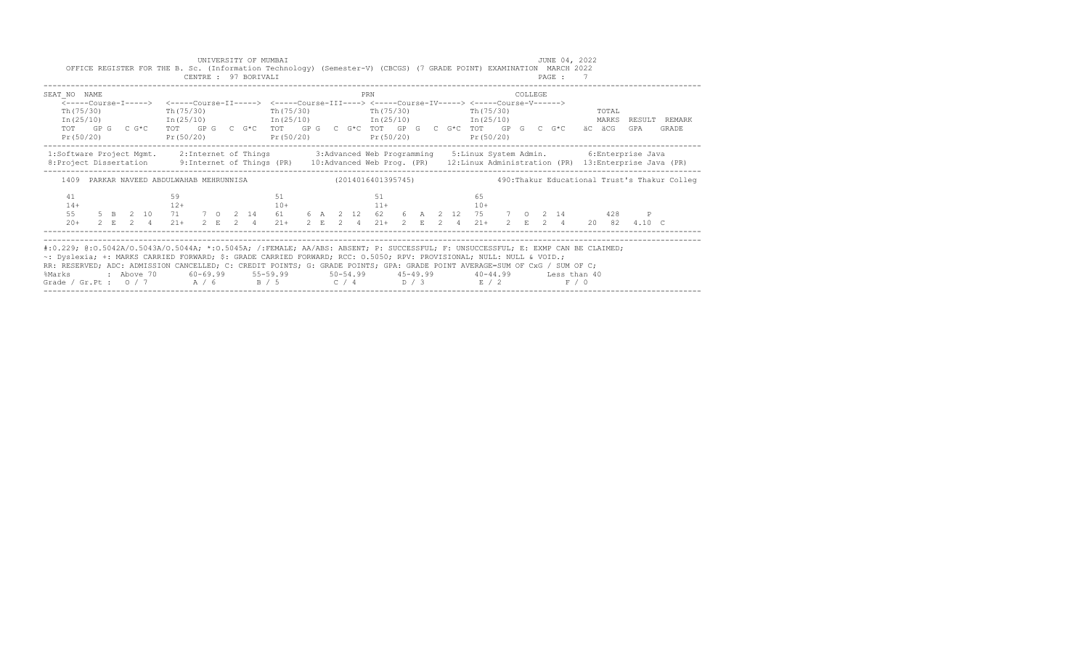|                                                                                                                                                                                                                                                                                                                                                                                                                                                         |  |  |             |  | CENTRE : 97 BORIVALI | UNIVERSITY OF MUMBAI<br>OFFICE REGISTER FOR THE B. Sc. (Information Technology) (Semester-V) (CBCGS) (7 GRADE POINT) EXAMINATION MARCH 2022 |  |  |             |  |  |             |          |  | JUNE 04, 2022<br>PAGE : 7 |       |       |              |               |  |
|---------------------------------------------------------------------------------------------------------------------------------------------------------------------------------------------------------------------------------------------------------------------------------------------------------------------------------------------------------------------------------------------------------------------------------------------------------|--|--|-------------|--|----------------------|---------------------------------------------------------------------------------------------------------------------------------------------|--|--|-------------|--|--|-------------|----------|--|---------------------------|-------|-------|--------------|---------------|--|
| SEAT NO NAME                                                                                                                                                                                                                                                                                                                                                                                                                                            |  |  |             |  |                      |                                                                                                                                             |  |  | PRN         |  |  |             | COLLEGE. |  |                           |       |       |              |               |  |
|                                                                                                                                                                                                                                                                                                                                                                                                                                                         |  |  |             |  |                      | <-----Course-I-----> <-----Course-II-----> <-----Course-III----> <-----Course-IV-----> <-----Course-V------>                                |  |  |             |  |  |             |          |  |                           |       |       |              |               |  |
| Th (75/30)                                                                                                                                                                                                                                                                                                                                                                                                                                              |  |  | Th (75/30)  |  |                      | $Th(75/30)$ The $(75/30)$                                                                                                                   |  |  |             |  |  | Th (75/30)  |          |  |                           | TOTAL |       |              |               |  |
|                                                                                                                                                                                                                                                                                                                                                                                                                                                         |  |  |             |  |                      | $In (25/10)$ $In (25/10)$ $In (25/10)$ $In (25/10)$ $In (25/10)$ $In (25/10)$ $In (25/10)$                                                  |  |  |             |  |  |             |          |  |                           |       |       |              | RESULT REMARK |  |
| Pr(50/20)                                                                                                                                                                                                                                                                                                                                                                                                                                               |  |  | Pr(50/20)   |  |                      | TOT GPG CG*C TOT GPG CG*C TOT GPG CG*C TOT GPG CG*C TOT GPG CG*C TOT GPG CG*C äCäCG<br>$Pr(50/20)$ $Pr(50/20)$ $Pr(50/20)$                  |  |  |             |  |  |             |          |  |                           |       |       | GPA          | GRADE         |  |
| 1:Software Project Mgmt. 2:Internet of Things 3:Advanced Web Programming 5:Linux System Admin. 6:Enterprise Java<br>8: Project Dissertation 9: Internet of Things (PR) 10: Advanced Web Prog. (PR) 12: Linux Administration (PR) 13: Enterprise Java (PR)                                                                                                                                                                                               |  |  |             |  |                      |                                                                                                                                             |  |  |             |  |  |             |          |  |                           |       |       |              |               |  |
|                                                                                                                                                                                                                                                                                                                                                                                                                                                         |  |  |             |  |                      | 1409 PARKAR NAVEED ABDULWAHAB MEHRUNNISA (2014016401395745) 490:Thakur Educational Trust's Thakur Colleg                                    |  |  |             |  |  |             |          |  |                           |       |       |              |               |  |
| 41<br>$14+$<br>55                                                                                                                                                                                                                                                                                                                                                                                                                                       |  |  | 59<br>$12+$ |  |                      | 51<br>$10+$<br>5 B 2 10 71 7 O 2 14 61 6 A 2 12 62 6 A 2 12 75 7 O 2 14                                                                     |  |  | 51<br>$11+$ |  |  | 65<br>$10+$ |          |  |                           |       | 428 — | $\mathbb{P}$ |               |  |
| $2.0+$                                                                                                                                                                                                                                                                                                                                                                                                                                                  |  |  |             |  |                      | 2 E 2 4 21+ 2 E 2 4 21+ 2 E 2 4 21+ 2 E 2 4 21+ 2 E 2 4 20 82 4.10 C                                                                        |  |  |             |  |  |             |          |  |                           |       |       |              |               |  |
| #:0.229; @:0.5042A/0.5043A/0.5044A; *:0.5045A; /:FEMALE; AA/ABS: ABSENT; P: SUCCESSFUL; F: UNSUCCESSFUL; E: EXMP CAN BE CLAIMED;<br>~: Dyslexia; +: MARKS CARRIED FORWARD; \$: GRADE CARRIED FORWARD; RCC: 0.5050; RPV: PROVISIONAL; NULL: NULL & VOID.;<br>RR: RESERVED; ADC: ADMISSION CANCELLED; C: CREDIT POINTS; G: GRADE POINTS; GPA: GRADE POINT AVERAGE=SUM OF CxG / SUM OF C;<br>%Marks<br>Grade / Gr.Pt : $0/7$ $A/6$ $B/5$ $C/4$ $D/3$ $E/2$ |  |  |             |  |                      | : Above 70    60-69.99    55-59.99     50-54.99     45-49.99     40-44.99     Less than 40                                                  |  |  |             |  |  |             |          |  | F / 0                     |       |       |              |               |  |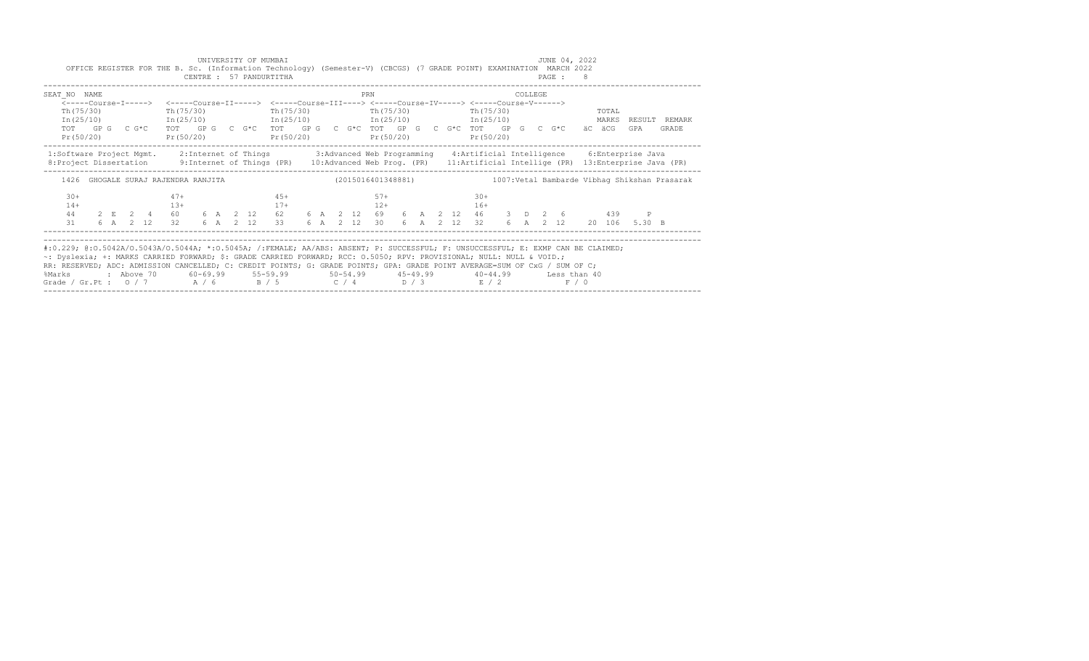|                                                                                                                                                                                                                                                                                                                                                                                                                                                        |  |  |                         |  |  | UNIVERSITY OF MUMBAI<br>OFFICE REGISTER FOR THE B. Sc. (Information Technology) (Semester-V) (CBCGS) (7 GRADE POINT) EXAMINATION MARCH 2022<br>CENTRE : 57 PANDURTITHA                                                                                                                                                                          |  |  |                    |  |  |                          |  |          | JUNE 04, 2022<br>PAGE : 8 |       |                      |       |  |
|--------------------------------------------------------------------------------------------------------------------------------------------------------------------------------------------------------------------------------------------------------------------------------------------------------------------------------------------------------------------------------------------------------------------------------------------------------|--|--|-------------------------|--|--|-------------------------------------------------------------------------------------------------------------------------------------------------------------------------------------------------------------------------------------------------------------------------------------------------------------------------------------------------|--|--|--------------------|--|--|--------------------------|--|----------|---------------------------|-------|----------------------|-------|--|
| SEAT NO NAME                                                                                                                                                                                                                                                                                                                                                                                                                                           |  |  |                         |  |  |                                                                                                                                                                                                                                                                                                                                                 |  |  | PRN                |  |  |                          |  | COLLEGE. |                           |       |                      |       |  |
| Th (75/30)<br>Pr(50/20)                                                                                                                                                                                                                                                                                                                                                                                                                                |  |  | Th (75/30)<br>Pr(50/20) |  |  | <-----Course-T-----> <-----Course-TT-----> <-----Course-TTT----> <-----Course-TV-----> <-----Course-V------><br>$Th(75/30)$ The $(75/30)$<br>$In (25/10)$ $In (25/10)$ $In (25/10)$ $In (25/10)$ $In (25/10)$ $In (25/10)$ $In (25/10)$<br>TOT GPG CG*C TOT GPG CG*C TOT GPG CG*C TOT GPG CG*CTOT CPG CG*C G*C aCGCG<br>$Pr(50/20)$ $Pr(50/20)$ |  |  |                    |  |  | Th (75/30)<br>Pr (50/20) |  |          |                           | TOTAL | RESULT REMARK<br>GPA | GRADE |  |
| 1:Software Project Mgmt. 2:Internet of Things 3:Advanced Web Programming 4:Artificial Intelligence 6:Enterprise Java<br>8: Project Dissertation 9: Internet of Things (PR) 10: Advanced Web Prog. (PR) 11: Artificial Intellige (PR) 13: Enterprise Java (PR)                                                                                                                                                                                          |  |  |                         |  |  |                                                                                                                                                                                                                                                                                                                                                 |  |  |                    |  |  |                          |  |          |                           |       |                      |       |  |
|                                                                                                                                                                                                                                                                                                                                                                                                                                                        |  |  |                         |  |  | 1426 GHOGALE SURAJ RAJENDRA RANJITA (2015016401348881) 1007:Vetal Bambarde Vibhaq Shikshan Prasarak                                                                                                                                                                                                                                             |  |  |                    |  |  |                          |  |          |                           |       |                      |       |  |
| $30+$<br>$14+$                                                                                                                                                                                                                                                                                                                                                                                                                                         |  |  | $47+$<br>$13+$          |  |  | $45+$<br>$17+$<br>$44$ 2 E 2 4 60 6 A 2 12 62 6 A 2 12 69 6 A 2 12 46 3 D 2 6 439 P<br>31 6 A 2 12 32 6 A 2 12 33 6 A 2 12 30 6 A 2 12 32 6 A 2 12 20 106 5.30 B                                                                                                                                                                                |  |  | $57+$ 30+<br>$12+$ |  |  | $16+$                    |  |          |                           |       |                      |       |  |
| #:0.229; @:0.5042A/0.5043A/0.5044A; *:0.5045A; /:FEMALE; AA/ABS: ABSENT; P: SUCCESSFUL; F: UNSUCCESSFUL; E: EXMP CAN BE CLAIMED;<br>~: Dyslexia; +: MARKS CARRIED FORWARD; \$: GRADE CARRIED FORWARD; RCC: 0.5050; RPV: PROVISIONAL; NULL: NULL & VOID.;<br>RR: RESERVED; ADC: ADMISSION CANCELLED; C: CREDIT POINTS; G: GRADE POINTS; GPA: GRADE POINT AVERAGE=SUM OF CxG / SUM OF C;<br>%Marks<br>Grade / Gr.Pt: $0/7$ A / 6 B / 5 C / 4 D / 3 E / 2 |  |  |                         |  |  | : Above 70    60-69.99    55-59.99     50-54.99     45-49.99     40-44.99     Less than 40                                                                                                                                                                                                                                                      |  |  |                    |  |  |                          |  |          | F / 0                     |       |                      |       |  |